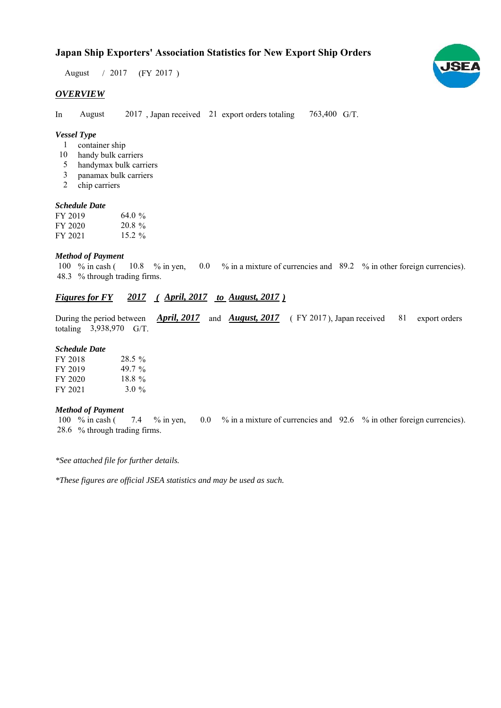# **Japan Ship Exporters' Association Statistics for New Export Ship Orders**

 $/ 2017$  (FY 2017) August

### *OVERVIEW*

In August 2017, Japan received 21 export orders totaling 763,400 G/T. August

#### *Vessel Type*

- container ship 1
- handy bulk carriers 10
- handymax bulk carriers 5
- panamax bulk carriers 3
- chip carriers 2

#### *Schedule Date*

| FY 2019 | 64.0 %    |
|---------|-----------|
| FY 2020 | $20.8 \%$ |
| FY 2021 | 15.2 $\%$ |

#### *Method of Payment*

% in cash ( $10.8$  % in yen,  $0.0$  % in a mixture of currencies and 89.2 % in other foreign currencies). % through trading firms. 48.3 10.8  $%$  in yen, 100  $%$  in cash (

## *Figures for FY* 2017 (*April, 2017 to August, 2017*)

During the period between *April, 2017* and *August, 2017* (FY 2017), Japan received 81 export orders totaling  $3,938,970$  G/T. 81 export orders

#### *Schedule Date*

| FY 2018 | 28.5%     |
|---------|-----------|
| FY 2019 | 49.7 $\%$ |
| FY 2020 | $18.8\%$  |
| FY 2021 | 3.0 $\%$  |

#### *Method of Payment*

100 % in cash ( $\frac{7.4}{6}$  % in yen,  $\frac{0.0}{6}$  % in a mixture of currencies and  $\frac{92.6}{6}$  % in other foreign currencies). % through trading firms. 28.6

*\*See attached file for further details.*

*\*These figures are official JSEA statistics and may be used as such.*

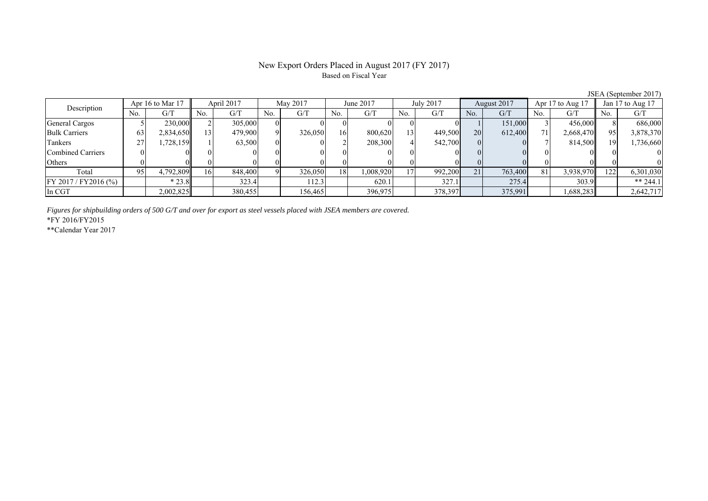## New Export Orders Placed in August 2017 (FY 2017) Based on Fiscal Year

| 0.0111100010011001111 |     |                  |                 |            |     |          |           |           |     |           |                |             |     |                  |     |                  |
|-----------------------|-----|------------------|-----------------|------------|-----|----------|-----------|-----------|-----|-----------|----------------|-------------|-----|------------------|-----|------------------|
| Description           |     | Apr 16 to Mar 17 |                 | April 2017 |     | May 2017 |           | June 2017 |     | July 2017 |                | August 2017 |     | Apr 17 to Aug 17 |     | Jan 17 to Aug 17 |
|                       | No. | G/T              | No.             | G/T        | No. | G/T      | No.       | G/T       | No. | G/T       | N <sub>o</sub> | G/T         | No. | G/T              | No. | G/T              |
| General Cargos        |     | 230.000ll        |                 | 305,000    |     |          |           |           |     |           |                | 151,000     |     | 456,000          |     | 686,000          |
| <b>Bulk Carriers</b>  | 63  | 2,834,650        | 13 <sub>1</sub> | 479,900    |     | 326,050  | <b>16</b> | 800,620   | 13  | 449,500   | <b>20</b>      | 612,400     |     | 2,668,470        | 95  | 3,878,370        |
| Tankers               | 27  | 1,728,159        |                 | 63,500     |     |          |           | 208,300   |     | 542,700   |                |             |     | 814,500          | 19  | 1,736,660        |
| Combined Carriers     |     |                  |                 |            |     |          |           |           |     |           |                |             |     |                  |     |                  |
| Others                |     |                  |                 |            |     |          |           |           |     |           |                |             |     |                  |     |                  |
| Total                 | 95  | 4,792,809        | 16I             | 848,400    |     | 326,050  | 18        | .008.920  |     | 992,200   | 21             | 763,400     | 81  | 3,938,970        | 122 | 6,301,030        |
| FY 2017 / FY 2016 (%) |     | $*23.8$          |                 | 323.4      |     | 112.3    |           | 620.1     |     | 327.1     |                | 275.4       |     | 303.9            |     | ** 244.1         |
| In CGT                |     | 2,002,825        |                 | 380,455    |     | 156,465  |           | 396,975   |     | 378,397   |                | 375,991     |     | 1,688,283        |     | 2,642,717        |

*Figures for shipbuilding orders of 500 G/T and over for export as steel vessels placed with JSEA members are covered.*

\*FY 2016/FY2015

\*\*Calendar Year 2017

JSEA (September 2017)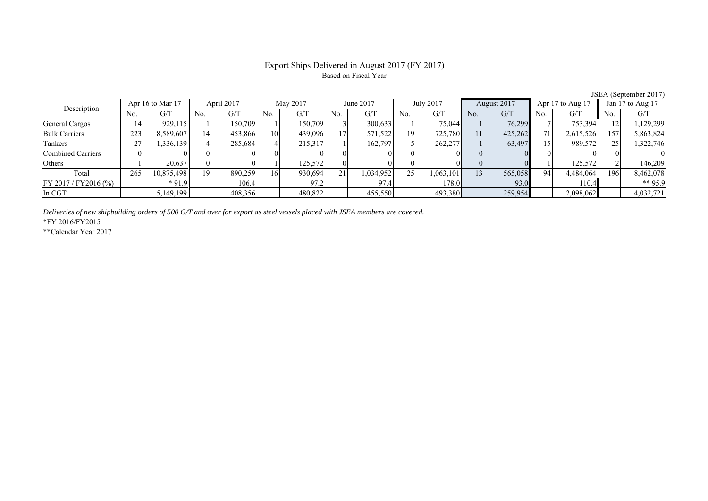## Export Ships Delivered in August 2017 (FY 2017) Based on Fiscal Year

| Description             |     | Apr 16 to Mar 17 |     | April 2017 |     | May 2017 |     | June 2017 |     | July 2017 |     | August 2017 |          | Apr 17 to Aug 17 |     | Jan 17 to Aug 17 |
|-------------------------|-----|------------------|-----|------------|-----|----------|-----|-----------|-----|-----------|-----|-------------|----------|------------------|-----|------------------|
|                         | No. | G/T              | No. | G/T        | No. | G/T      | No. | G/T       | No. | G/T       | No. | G/T         | No.      | G/T              | No. | G/T              |
| General Cargos          | 14' | 929,115          |     | 150,709    |     | 150.709  |     | 300,633   |     | 75,044    |     | 76,299      |          | 753,394          |     | ,129,299         |
| <b>Bulk Carriers</b>    | 223 | 8,589,607        |     | 453,866    | 10  | 439,096  |     | 571,522   | 19  | 725,780   | 11  | 425,262     |          | 2,615,526        | 157 | 5,863,824        |
| Tankers                 |     | 1,336,139        |     | 285,684    |     | 215,317  |     | 162.797   |     | 262,277   |     | 63,497      |          | 989,572          |     | 1,322,746        |
| Combined Carriers       |     |                  |     |            |     |          |     |           |     |           |     |             | $\Omega$ |                  |     |                  |
| Others                  |     | 20,637           |     |            |     | 125.572  |     |           |     |           |     |             |          | 125,572          |     | 146.209          |
| Total                   | 265 | 10,875,498       | 19  | 890,259    | 16  | 930,694  | 211 | .034,952  | 25  | 1,063,101 | 13  | 565,058     | 94       | 4,484,064        | 196 | 8,462,078        |
| $FY 2017 / FY 2016$ (%) |     | $*91.9$          |     | 106.4      |     | 97.2     |     | 97.4      |     | 178.0     |     | 93.0        |          | 110.4            |     | ** 95.9          |
| In CGT                  |     | 5,149,199        |     | 408,356    |     | 480,822  |     | 455,550   |     | 493,380   |     | 259,954     |          | 2,098,062        |     | 4,032,721        |

*Deliveries of new shipbuilding orders of 500 G/T and over for export as steel vessels placed with JSEA members are covered.*

\*FY 2016/FY2015

\*\*Calendar Year 2017

JSEA (September 2017)